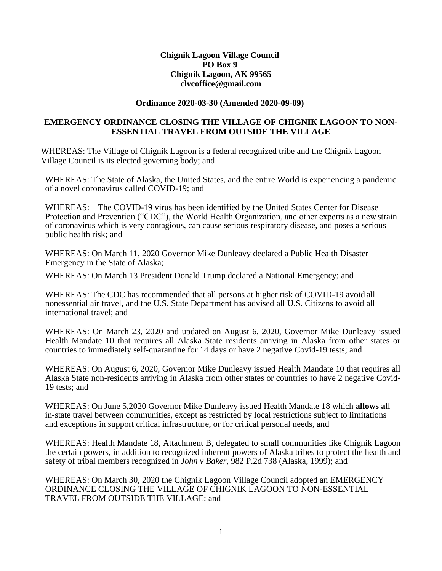### **Chignik Lagoon Village Council PO Box 9 Chignik Lagoon, AK 9956[5](mailto:clvcoffice@gmail.com) [clvcoffice@gmail.com](mailto:clvcoffice@gmail.com)**

#### **Ordinance 2020-03-30 (Amended 2020-09-09)**

### **EMERGENCY ORDINANCE CLOSING THE VILLAGE OF CHIGNIK LAGOON TO NON-ESSENTIAL TRAVEL FROM OUTSIDE THE VILLAGE**

WHEREAS: The Village of Chignik Lagoon is a federal recognized tribe and the Chignik Lagoon Village Council is its elected governing body; and

WHEREAS: The State of Alaska, the United States, and the entire World is experiencing a pandemic of a novel coronavirus called COVID-19; and

WHEREAS: The COVID-19 virus has been identified by the United States Center for Disease Protection and Prevention ("CDC"), the World Health Organization, and other experts as a new strain of coronavirus which is very contagious, can cause serious respiratory disease, and poses a serious public health risk; and

WHEREAS: On March 11, 2020 Governor Mike Dunleavy declared a Public Health Disaster Emergency in the State of Alaska;

WHEREAS: On March 13 President Donald Trump declared a National Emergency; and

WHEREAS: The CDC has recommended that all persons at higher risk of COVID-19 avoid all nonessential air travel, and the U.S. State Department has advised all U.S. Citizens to avoid all international travel; and

WHEREAS: On March 23, 2020 and updated on August 6, 2020, Governor Mike Dunleavy issued Health Mandate 10 that requires all Alaska State residents arriving in Alaska from other states or countries to immediately self-quarantine for 14 days or have 2 negative Covid-19 tests; and

WHEREAS: On August 6, 2020, Governor Mike Dunleavy issued Health Mandate 10 that requires all Alaska State non-residents arriving in Alaska from other states or countries to have 2 negative Covid-19 tests; and

WHEREAS: On June 5,2020 Governor Mike Dunleavy issued Health Mandate 18 which **allows a**ll in-state travel between communities, except as restricted by local restrictions subject to limitations and exceptions in support critical infrastructure, or for critical personal needs, and

WHEREAS: Health Mandate 18, Attachment B, delegated to small communities like Chignik Lagoon the certain powers, in addition to recognized inherent powers of Alaska tribes to protect the health and safety of tribal members recognized in *John v Baker,* 982 P.2d 738 (Alaska, 1999); and

WHEREAS: On March 30, 2020 the Chignik Lagoon Village Council adopted an EMERGENCY ORDINANCE CLOSING THE VILLAGE OF CHIGNIK LAGOON TO NON-ESSENTIAL TRAVEL FROM OUTSIDE THE VILLAGE; and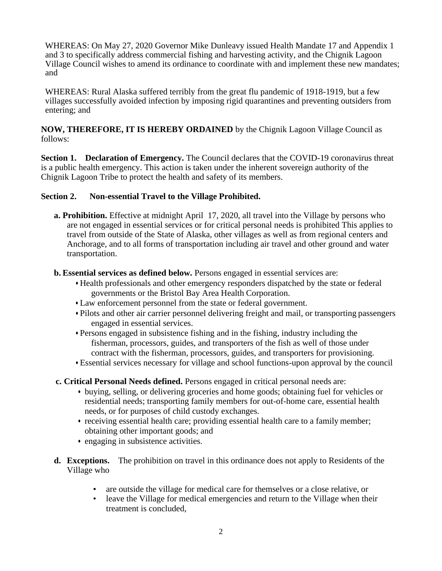WHEREAS: On May 27, 2020 Governor Mike Dunleavy issued Health Mandate 17 and Appendix 1 and 3 to specifically address commercial fishing and harvesting activity, and the Chignik Lagoon Village Council wishes to amend its ordinance to coordinate with and implement these new mandates; and

WHEREAS: Rural Alaska suffered terribly from the great flu pandemic of 1918-1919, but a few villages successfully avoided infection by imposing rigid quarantines and preventing outsiders from entering; and

**NOW, THEREFORE, IT IS HEREBY ORDAINED** by the Chignik Lagoon Village Council as follows:

**Section 1. Declaration of Emergency.** The Council declares that the COVID-19 coronavirus threat is a public health emergency. This action is taken under the inherent sovereign authority of the Chignik Lagoon Tribe to protect the health and safety of its members.

### **Section 2. Non-essential Travel to the Village Prohibited.**

- **a. Prohibition.** Effective at midnight April 17, 2020, all travel into the Village by persons who are not engaged in essential services or for critical personal needs is prohibited This applies to travel from outside of the State of Alaska, other villages as well as from regional centers and Anchorage, and to all forms of transportation including air travel and other ground and water transportation.
- **b. Essential services as defined below.** Persons engaged in essential services are:
	- Health professionals and other emergency responders dispatched by the state or federal governments or the Bristol Bay Area Health Corporation.
	- Law enforcement personnel from the state or federal government.
	- Pilots and other air carrier personnel delivering freight and mail, or transporting passengers engaged in essential services.
	- Persons engaged in subsistence fishing and in the fishing, industry including the fisherman, processors, guides, and transporters of the fish as well of those under contract with the fisherman, processors, guides, and transporters for provisioning.
	- Essential services necessary for village and school functions-upon approval by the council
- **c. Critical Personal Needs defined.** Persons engaged in critical personal needs are:
	- buying, selling, or delivering groceries and home goods; obtaining fuel for vehicles or residential needs; transporting family members for out-of-home care, essential health needs, or for purposes of child custody exchanges.
	- receiving essential health care; providing essential health care to a family member; obtaining other important goods; and
	- engaging in subsistence activities.
- **d. Exceptions.** The prohibition on travel in this ordinance does not apply to Residents of the Village who
	- are outside the village for medical care for themselves or a close relative, or
	- leave the Village for medical emergencies and return to the Village when their treatment is concluded,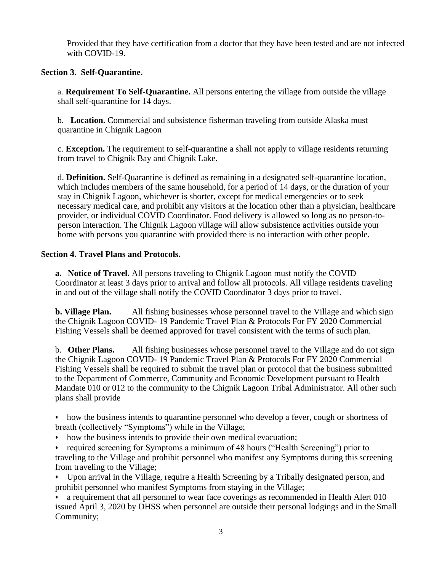Provided that they have certification from a doctor that they have been tested and are not infected with COVID-19.

# **Section 3. Self-Quarantine.**

a. **Requirement To Self-Quarantine.** All persons entering the village from outside the village shall self-quarantine for 14 days.

b. **Location.** Commercial and subsistence fisherman traveling from outside Alaska must quarantine in Chignik Lagoon

c. **Exception.** The requirement to self-quarantine a shall not apply to village residents returning from travel to Chignik Bay and Chignik Lake.

d. **Definition.** Self-Quarantine is defined as remaining in a designated self-quarantine location, which includes members of the same household, for a period of 14 days, or the duration of your stay in Chignik Lagoon, whichever is shorter, except for medical emergencies or to seek necessary medical care, and prohibit any visitors at the location other than a physician, healthcare provider, or individual COVID Coordinator. Food delivery is allowed so long as no person-toperson interaction. The Chignik Lagoon village will allow subsistence activities outside your home with persons you quarantine with provided there is no interaction with other people.

## **Section 4. Travel Plans and Protocols.**

**a. Notice of Travel.** All persons traveling to Chignik Lagoon must notify the COVID Coordinator at least 3 days prior to arrival and follow all protocols. All village residents traveling in and out of the village shall notify the COVID Coordinator 3 days prior to travel.

**b. Village Plan.** All fishing businesses whose personnel travel to the Village and which sign the Chignik Lagoon COVID- 19 Pandemic Travel Plan & Protocols For FY 2020 Commercial Fishing Vessels shall be deemed approved for travel consistent with the terms of such plan.

b. **Other Plans.** All fishing businesses whose personnel travel to the Village and do not sign the Chignik Lagoon COVID- 19 Pandemic Travel Plan & Protocols For FY 2020 Commercial Fishing Vessels shall be required to submit the travel plan or protocol that the business submitted to the Department of Commerce, Community and Economic Development pursuant to Health Mandate 010 or 012 to the community to the Chignik Lagoon Tribal Administrator. All other such plans shall provide

• how the business intends to quarantine personnel who develop a fever, cough or shortness of breath (collectively "Symptoms") while in the Village;

• how the business intends to provide their own medical evacuation;

• required screening for Symptoms a minimum of 48 hours ("Health Screening") prior to traveling to the Village and prohibit personnel who manifest any Symptoms during thisscreening from traveling to the Village;

• Upon arrival in the Village, require a Health Screening by a Tribally designated person, and prohibit personnel who manifest Symptoms from staying in the Village;

• a requirement that all personnel to wear face coverings as recommended in Health Alert 010 issued April 3, 2020 by DHSS when personnel are outside their personal lodgings and in the Small Community;